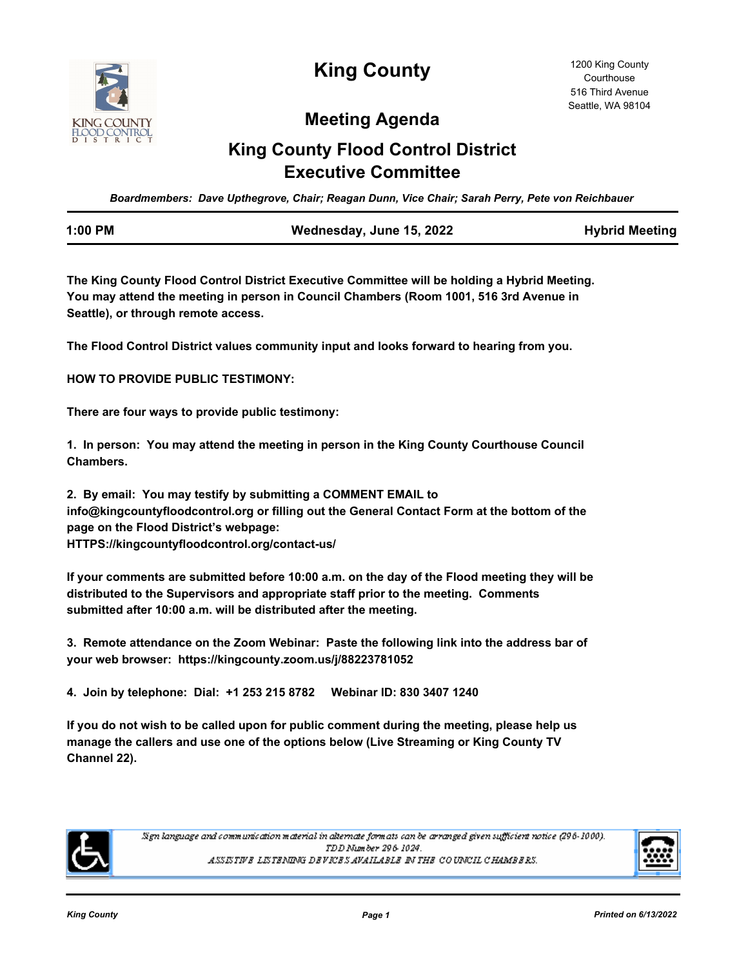

**King County**

## **Meeting Agenda**

# **King County Flood Control District Executive Committee**

*Boardmembers: Dave Upthegrove, Chair; Reagan Dunn, Vice Chair; Sarah Perry, Pete von Reichbauer*

| 1:00 PM | Wednesday, June 15, 2022 | <b>Hybrid Meeting</b> |
|---------|--------------------------|-----------------------|
|         |                          |                       |

**The King County Flood Control District Executive Committee will be holding a Hybrid Meeting. You may attend the meeting in person in Council Chambers (Room 1001, 516 3rd Avenue in Seattle), or through remote access.**

**The Flood Control District values community input and looks forward to hearing from you.**

**HOW TO PROVIDE PUBLIC TESTIMONY:**

**There are four ways to provide public testimony:**

**1. In person: You may attend the meeting in person in the King County Courthouse Council Chambers.**

**2. By email: You may testify by submitting a COMMENT EMAIL to info@kingcountyfloodcontrol.org or filling out the General Contact Form at the bottom of the page on the Flood District's webpage: HTTPS://kingcountyfloodcontrol.org/contact-us/**

**If your comments are submitted before 10:00 a.m. on the day of the Flood meeting they will be distributed to the Supervisors and appropriate staff prior to the meeting. Comments submitted after 10:00 a.m. will be distributed after the meeting.**

**3. Remote attendance on the Zoom Webinar: Paste the following link into the address bar of your web browser: https://kingcounty.zoom.us/j/88223781052**

**4. Join by telephone: Dial: +1 253 215 8782 Webinar ID: 830 3407 1240**

**If you do not wish to be called upon for public comment during the meeting, please help us manage the callers and use one of the options below (Live Streaming or King County TV Channel 22).**



Sign language and communication material in alternate formats can be arranged given sufficient notice (296-1000). TDD Number 296-1024. ASSISTIVE LISTENING DEVICES AVAILABLE IN THE COUNCIL CHAMBERS.

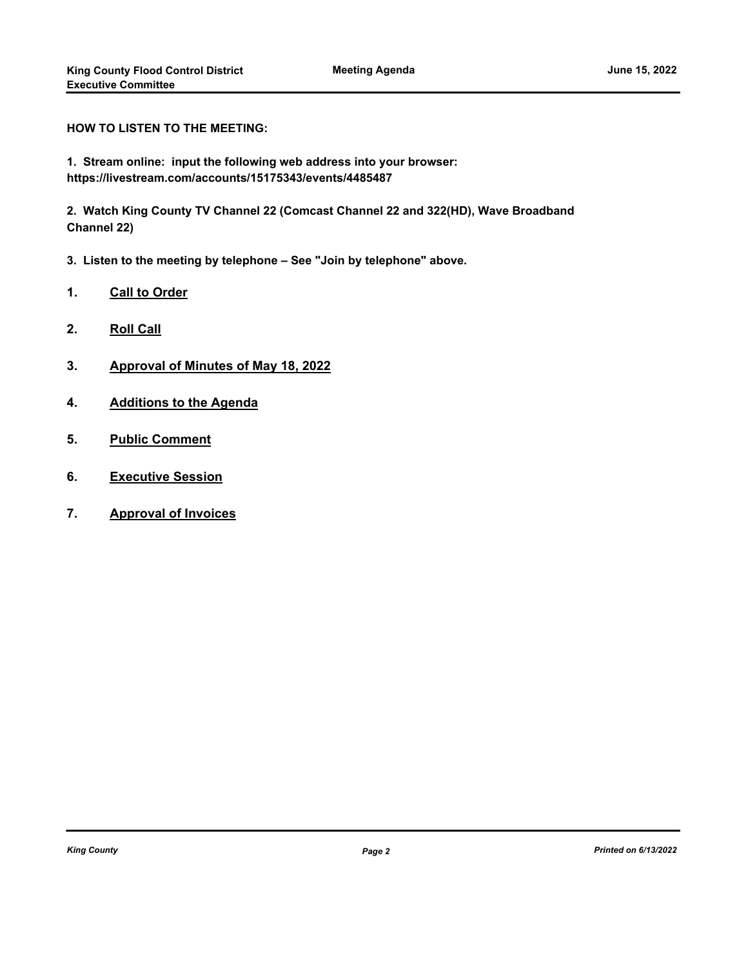**HOW TO LISTEN TO THE MEETING:**

**1. Stream online: input the following web address into your browser: https://livestream.com/accounts/15175343/events/4485487** 

**2. Watch King County TV Channel 22 (Comcast Channel 22 and 322(HD), Wave Broadband Channel 22)**

- **3. Listen to the meeting by telephone See "Join by telephone" above.**
- **1. Call to Order**
- **2. Roll Call**
- **3. Approval of Minutes of May 18, 2022**
- **4. Additions to the Agenda**
- **5. Public Comment**
- **6. Executive Session**
- **7. Approval of Invoices**